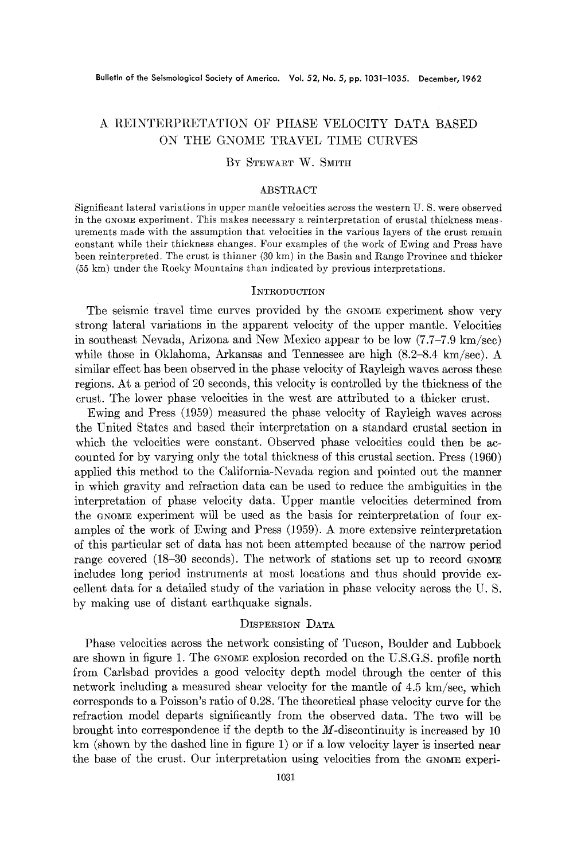# A REINTERPRETATION OF PHASE VELOCITY DATA BASED ON THE GNOME TRAVEL TIME CURVES

# BY STEWART W. SMITH

# ABSTRACT

Significant lateral variations in upper mantle velocities across the western U. S. were observed in the GNOME experiment. This makes necessary a reinterpretation of crustal thickness measurements made with the assumption that velocities in the various layers of the crust remain constant while their thickness changes. Four examples of the work of Ewing and Press have been reinterpreted. The crust is thinner (30 km) in the Basin and Range Province and thicker (55 km) under the Rocky Mountains than indicated by previous interpretations.

## **INTRODUCTION**

The seismic travel time curves provided by the GNOME experiment show very strong lateral variations in the apparent velocity of the upper mantle. Velocities in southeast Nevada, Arizona and New Mexico appear to be low  $(7.7-\text{--}7.9 \text{ km/sec})$ while those in Oklahoma, Arkansas and Tennessee are high  $(8.2-8.4 \text{ km/sec})$ . A similar effect has been observed in the phase velocity of Rayleigh waves across these regions. At a period of 20 seconds, this velocity is controlled by the thickness of the crust. The lower phase velocities in the west are attributed to a thicker crust.

Ewing and Press (1959) measured the phase velocity of Rayleigh waves across the United States and based their interpretation on a standard crustal section in which the velocities were constant. Observed phase velocities could then be accounted for by varying only the total thickness of this crustal section. Press (1960) applied this method to the California-Nevada region and pointed out the manner in which gravity and refraction data can be used to reduce the ambiguities in the interpretation of phase velocity data. Upper mantle velocities determined from the GNOME experiment will be used as the basis for reinterpretation of four examples of the work of Ewing and Press (1959). A more extensive reinterpretation of this particular set of data has not been attempted because of the narrow period range covered  $(18-30$  seconds). The network of stations set up to record GNOME includes long period instruments at most locations and thus should provide excellent data for a detailed study of the variation in phase velocity across the U. S. by making use of distant earthquake signals.

# DISPERSION DATA

Phase velocities across the network consisting of Tucson, Boulder and Lubbock are shown in figure 1. The GNOME explosion recorded on the U.S.G.S. profile north from Carlsbad provides a good velocity depth model through the center of this network including a measured shear velocity for the mantle of 4.5 km/sec, which corresponds to a Poisson's ratio of 0.28. The theoretical phase velocity curve for the refraction model departs significantly from the observed data. The two will be brought into correspondence if the depth to the  $M$ -discontinuity is increased by 10 km (shown by the dashed line in figure 1) or if a low velocity layer is inserted near the base of the crust. Our interpretation using velocities from the GNOME experi-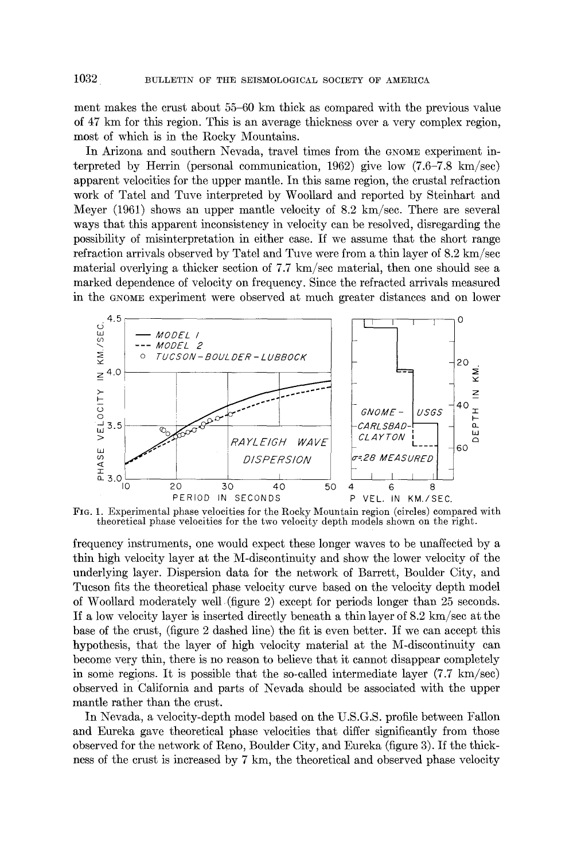ment makes the crust about 55-60 km thick as compared with the previous value of 47 km for this region. This is an average thickness over a very complex region, most of which is in the Rocky Mountains.

In Arizona and southern Nevada, travel times from the GNOME experiment interpreted by Herrin (personal communication, 1962) give low (7.6-7.8 km/sec) apparent velocities for the upper mantle. In this same region, the crustal refraction work of Tatel and Tuve interpreted by Woollard and reported by Steinhart and Meyer  $(1961)$  shows an upper mantle velocity of 8.2 km/sec. There are several ways that this apparent inconsistency in velocity can be resolved, disregarding the possibility of misinterpretation in either case. If we assume that the short range refraction arrivals observed by Tatel and Tuve were from a thin layer of 8.2 km/sec material overlying a thicker section of  $7.7 \text{ km/sec material}$ , then one should see a marked dependence of velocity on frequency. Since the refracted arrivals measured in the GNOME experiment were observed at much greater distances and on lower



FIG. 1. Experimental phase velocities for the Rocky Mountain region (circles) compared with theoretical phase velocities for the two velocity depth models shown on the right.

frequency instruments, one would expect these longer waves to be unaffected by a thin high velocity layer at the M-discontinuity and show the lower velocity of the underlying layer. Dispersion data for the network of Barrett, Boulder City, and Tucson fits the theoretical phase velocity curve based on the velocity depth model of Woollard moderately well (figure 2) except for periods longer than 25 seconds. If a low velocity layer is inserted directly beneath a thin layer of  $8.2 \text{ km/sec}$  at the base of the crust, (figure 2 dashed line) the fit is even better. If we can accept this hypothesis, that the layer of high velocity material at the M-discontinuity can become very thin, there is no reason to believe that it cannot disappear completely in some regions. It is possible that the so-called intermediate layer  $(7.7 \text{ km/sec})$ observed in California and parts of Nevada should be associated with the upper mantle rather than the crust.

In Nevada, a velocity-depth model based on the U.S.G.S. profile between Fallon and Eureka gave theoretical phase velocities that differ significantly from those observed for the network of Reno, Boulder City, and Eureka (figure 3). If the thickness of the crust is increased by 7 km, the theoretical and observed phase velocity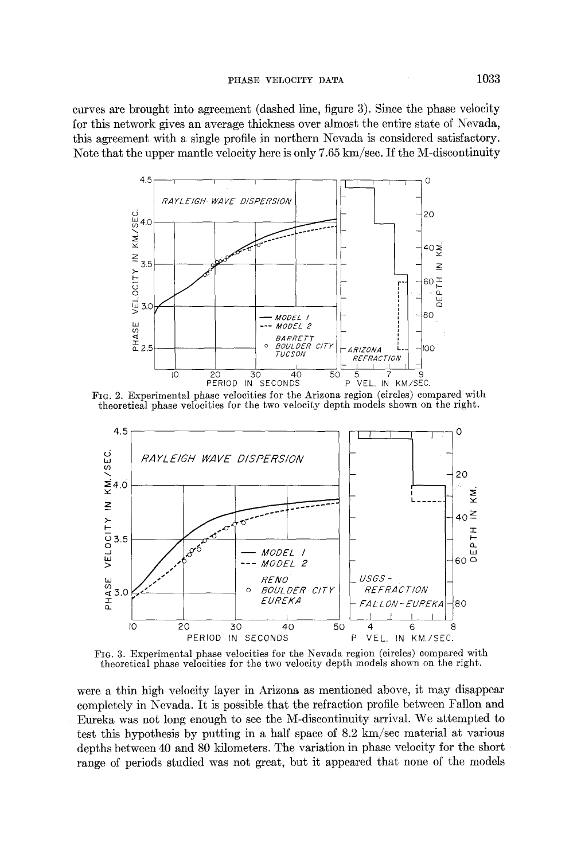**curves are brought into agreement (dashed line, figure 3). Since the phase velocity for this network gives an average thickness over almost the entire state of Nevada, this agreement with a single profile in northern Nevada is considered satisfactory. Note that the upper mantle velocity here is only 7.65 km/see. If the M-discontinuity** 



FIG. 2. **Experimental phase velocities for the Arizona region (circles) compared with theoretical phase velocities for the two velocity depth models shown on the right.** 



FIG. 3. **Experimental phase velocities for the Nevada region (circles) compared with theoretical phase velocities for the two velocity depth models shown on the right,.** 

**were a thin high velocity layer in Arizona as mentioned above, it may disappear completely in Nevada. It is possible that the refraction profile between Fallon and Eureka was not long enough to see the M-discontinuity arrival. We attempted to test this hypothesis by putting in a half spaee of 8.2 km/sec material at various depths between 40 and 80 kilometers. The variation in phase velocity for the short range of periods studied was not great, but it appeared that none of the models**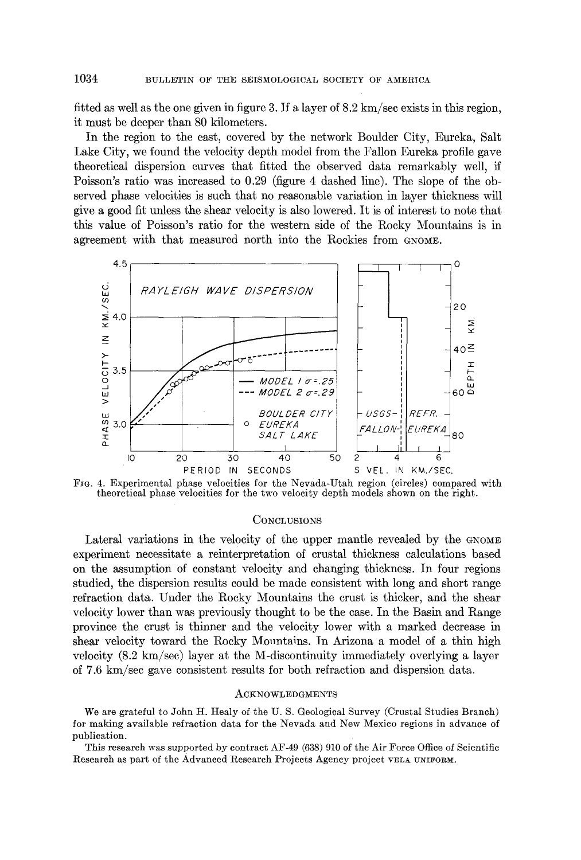fitted as well as the one given in figure 3. If a layer of  $8.2 \text{ km/sec}$  exists in this region, it must be deeper than 80 kilometers.

In the region to the east, covered by the network Boulder City, Eureka, Salt Lake City, we found the velocity depth model from the Fallon Eureka profile gave theoretical dispersion curves that fitted the observed data remarkably well, if Poisson's ratio was increased to 0.29 (figure 4 dashed line). The slope of the observed phase velocities is such that no reasonable variation in layer thickness will give a good fit unless the shear velocity is also lowered. It is of interest to note that this value of Poisson's ratio for the western side of the Rocky Mountains is in agreement with that measured north into the Rockies from GNOME.



FIG. 4. Experimental phase velocities for the Nevada-Utah region (circles) compared with theoretical phase velocities for the two velocity depth models shown on the right.

### **CONCLUSIONS**

Lateral variations in the velocity of the upper mantle revealed by the GNOME experiment necessitate a reinterpretation of crustal thickness calculations based on the assumption of constant velocity and changing thickness. In four regions studied, the dispersion results could be made consistent with long and short range refraction data. Under the Rocky Mountains the crust is thicker, and the shear velocity lower than was previously thought to be the ease. In the Basin and Range province the crust is thinner and the velocity lower with a marked decrease in shear velocity toward the Rocky Mountains. In Arizona a model of a thin high velocity (8.2 km/sec) layer at the M-discontinuity immediately overlying a layer of 7.6 km/sec gave consistent results for both refraction and dispersion data.

### ACKNOWLEDGMENTS

We are grateful to John H. Healy of the U.S. Geological Survey (Crustal Studies Branch) for making available refraction data for the Nevada and New Mexico regions in advance of publication.

This research was supported by contract AF-49 (638) 910 of the Air Force Office of Scientific Research as part of the Advanced Research Projects Agency project VELA UNIFORM.